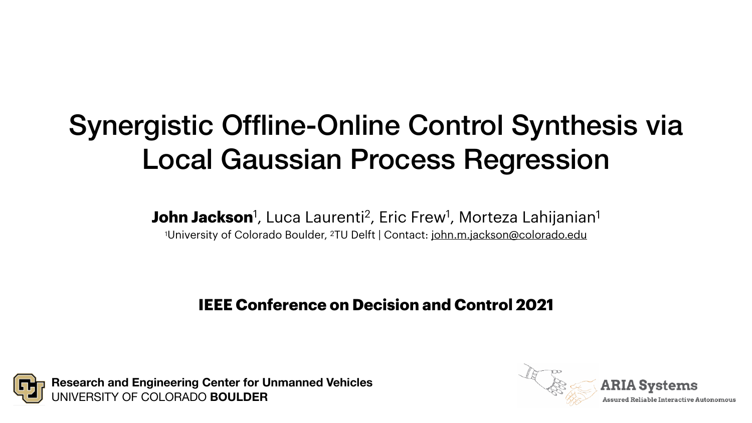



**ARIA Systems** 

**Assured Reliable Interactive Autonomous** 

# Synergistic Offline-Online Control Synthesis via Local Gaussian Process Regression

John Jackson<sup>1</sup>, Luca Laurenti<sup>2</sup>, Eric Frew<sup>1</sup>, Morteza Lahijanian<sup>1</sup> <sup>1</sup>University of Colorado Boulder, <sup>2</sup>TU Delft | Contact: [john.m.jackson@colorado.edu](mailto:john.m.jackson@colorado.edu)

**IEEE Conference on Decision and Control 2021**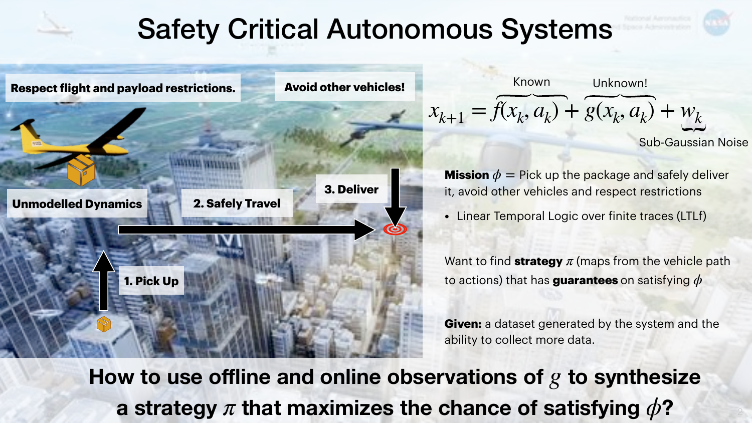## Safety Critical Autonomous Systems

**Respect flight and payload restrictions. Avoid other vehicles!** 



**1. Pick Up**

**2. Safely Travel**

**3. Deliver**

How to use offline and online observations of  $g$  to synthesize a strategy  $\pi$  that maximizes the chance of satisfying  $\phi$ ?

 $x_{k+1} = f(x_k, a_k) + g(x_k, a_k) + w_k$ Known Unknown!

**Mission**  $\phi =$  Pick up the package and safely deliver it, avoid other vehicles and respect restrictions

Sub-Gaussian Noise

Want to find strategy  $\pi$  (maps from the vehicle path to actions) that has **guarantees** on satisfying *ϕ*

• Linear Temporal Logic over finite traces (LTLf)

**Given:** a dataset generated by the system and the ability to collect more data.

### **Unmodelled Dynamics**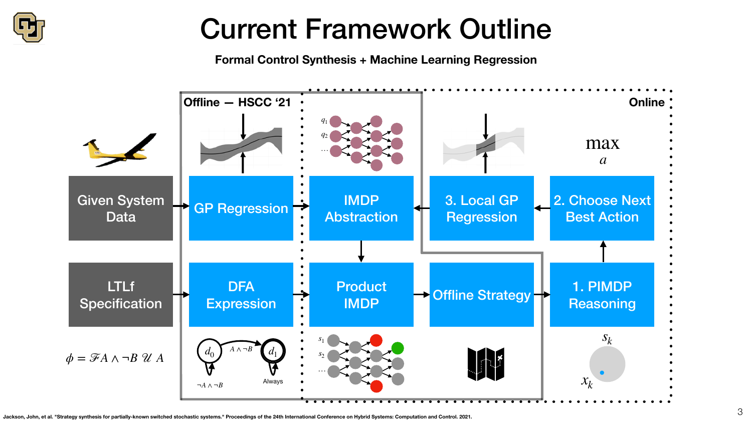

## Current Framework Outline





### **Formal Control Synthesis + Machine Learning Regression**

**Jackson, John, et al. "Strategy synthesis for partially-known switched stochastic systems." Proceedings of the 24th International Conference on Hybrid Systems: Computation and Control. 2021.**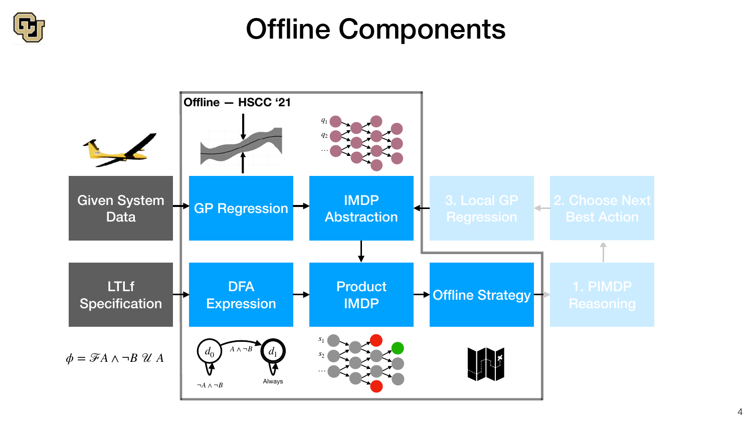

# Offline Components

4



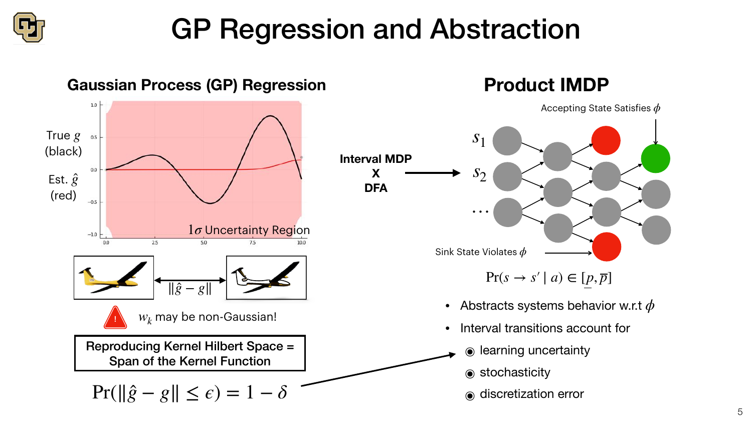

## GP Regression and Abstraction



### **Gaussian Process (GP) Regression**



## **Product IMDP**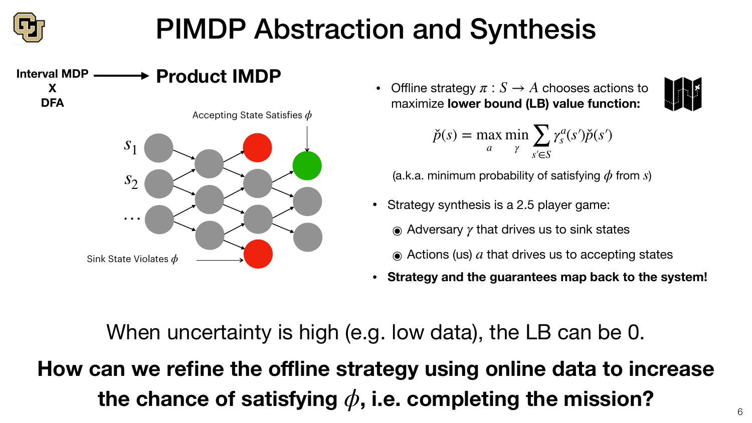

# PIMDP Abstraction and Synthesis

• Offline strategy  $\pi : S \to A$  chooses actions to maximize **lower bound (LB) value function:**





$$
\check{p}(s) = \max_{a} \min_{\gamma} \sum_{s' \in S} \gamma_s^a(s') \check{p}(s')
$$

(a.k.a. minimum probability of satisfying *ϕ* from *s*)

- Strategy synthesis is a 2.5 player game:
	- $\odot$  **Adversary**  $\gamma$  **that drives us to sink states**

 $\odot$  Actions (us)  $a$  that drives us to accepting states

**How can we refine the offline strategy using online data to increase the chance of satisfying** *ϕ***, i.e. completing the mission?**



When uncertainty is high (e.g. low data), the LB can be 0.



- 
- 

**• Strategy and the guarantees map back to the system!**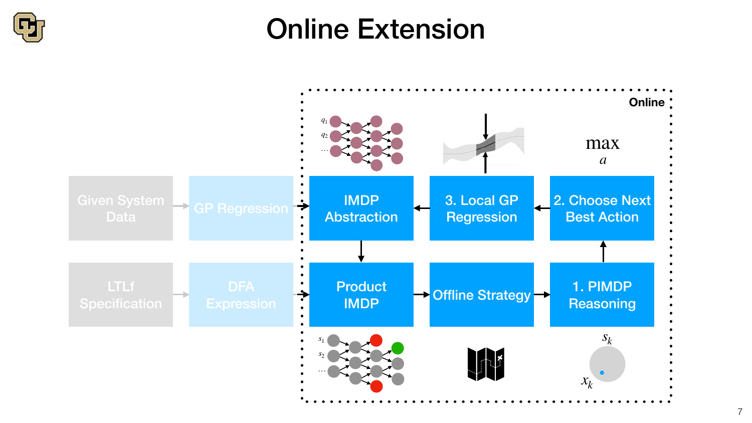## Online Extension





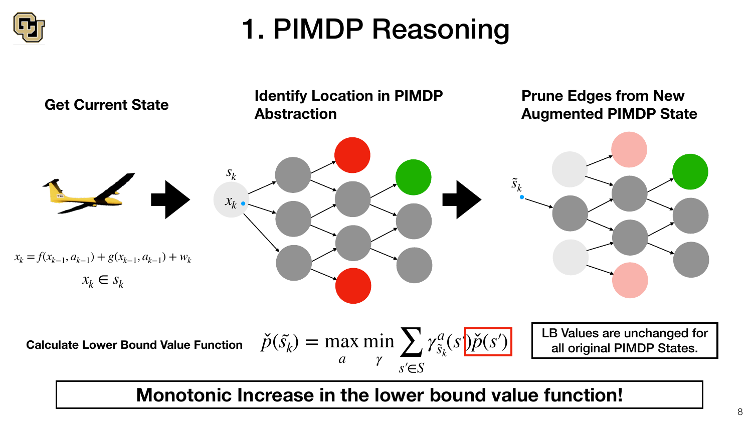# 1. PIMDP Reasoning

$$
\lim_{\gamma} \sum_{s' \in S} \gamma_{\tilde{s}_k}^a(s) \check{p}(s')
$$





**Calculate Lower Bound Value Function** 

## **Monotonic Increase in the lower bound value function!**

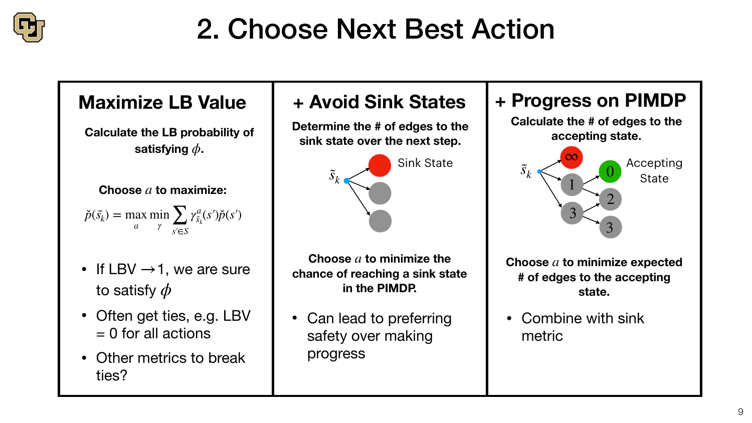

# 2. Choose Next Best Action

## **Maximize LB Value**

- If  $LBV \rightarrow 1$ , we are sure to satisfy *ϕ*
- Often get ties, e.g. LBV  $= 0$  for all actions
- Other metrics to break ties?

**Choose a to minimize expected # of edges to the accepting state.**

**Choose** *a* **to maximize:**

 $\check{p}(\tilde{s_k}) = \max$ *a* min  $\frac{1}{\gamma}$  ∠ ∠ ∠ ∠ ∠ ∠ *γ s*′∈*S γa*  $\tilde{s}_k$  $(s')\check{p}(s')$ 

## **+ Progress on PIMDP**

**Choose a to minimize the chance of reaching a sink state in the PIMDP.**

Can lead to preferring safety over making



**Calculate the # of edges to the accepting state.**

• Combine with sink metric



## **+ Avoid Sink States**



progress

**Determine the # of edges to the sink state over the next step. Calculate the LB probability of** 

**satisfying** *ϕ***.**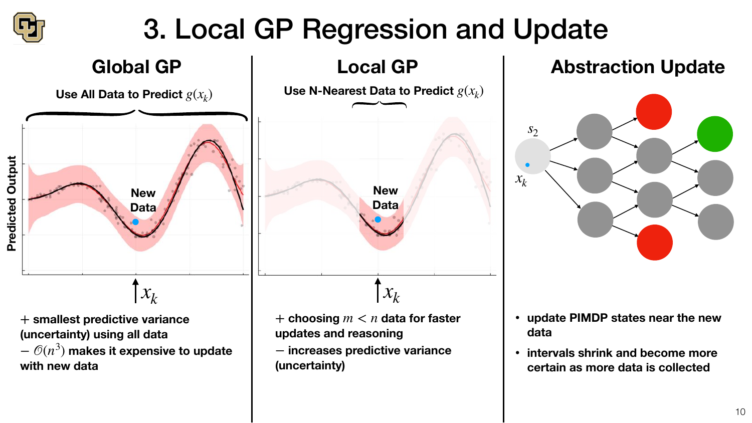10



# **Abstraction Update**

- **• update PIMDP states near the new data**
- **• intervals shrink and become more certain as more data is collected**





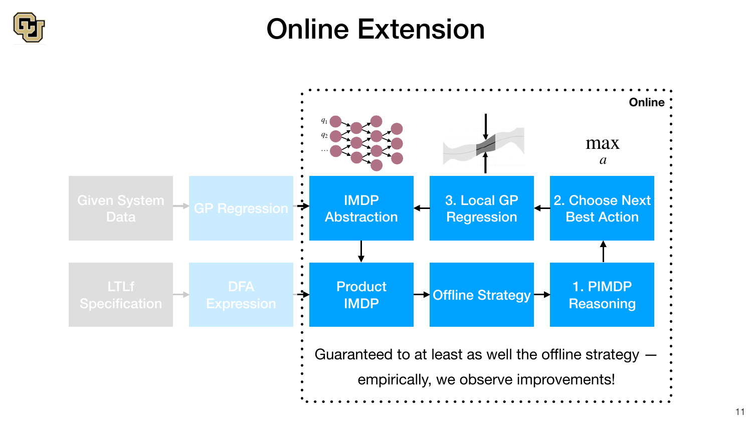## Online Extension

11



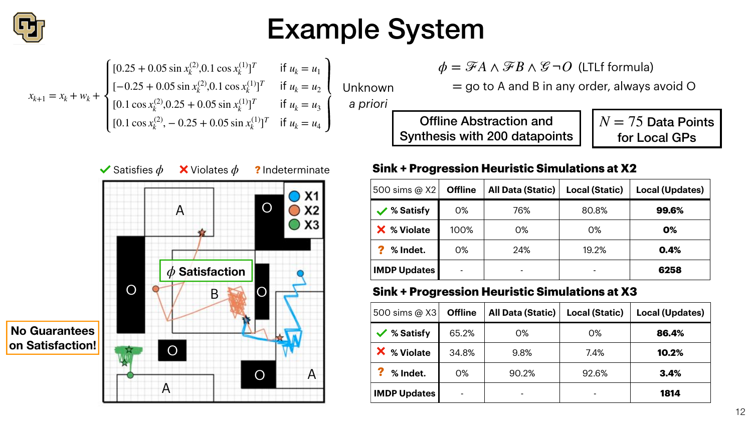

 $\phi = \mathscr{F} A \wedge \mathscr{F} B \wedge \mathscr{G} \neg O$  (LTLf formula)



# Example System

$$
x_{k+1} = x_k + w_k + \begin{cases} [0.25 + 0.05 \sin x_k^{(2)}, 0.1 \cos x_k^{(1)}]^T & \text{if } u_k = u_1 \\ [-0.25 + 0.05 \sin x_k^{(2)}, 0.1 \cos x_k^{(1)}]^T & \text{if } u_k = u_2 \\ [0.1 \cos x_k^{(2)}, 0.25 + 0.05 \sin x_k^{(1)}]^T & \text{if } u_k = u_3 \\ [0.1 \cos x_k^{(2)}, -0.25 + 0.05 \sin x_k^{(1)}]^T & \text{if } u_k = u_4 \end{cases} \quad \text{I}
$$

Unknown *a priori*

 $=$  go to A and B in any order, always avoid O

 $N = 75$  Data Points for Local GPs



Offline Abstraction and Synthesis with 200 datapoints

| 500 sims @ X2         | <b>Offline</b> | <b>All Data (Static)</b> | <b>Local (Static)</b> | <b>Local (Updates)</b> |
|-----------------------|----------------|--------------------------|-----------------------|------------------------|
| $\sqrt{\ }$ % Satisfy | $O\%$          | 76%                      | 80.8%                 | 99.6%                  |
| X % Violate           | 100%           | $O\%$                    | $O\%$                 | 0%                     |
| % Indet.              | $O\%$          | 24%                      | 19.2%                 | 0.4%                   |
| <b>IMDP Updates</b>   | -              |                          |                       | 6258                   |

### **Sink + Progression Heuristic Simulations at X2**

| 500 sims @ X3       | <b>Offline</b> | <b>All Data (Static)</b> | <b>Local (Static)</b> | <b>Local (Updates)</b> |
|---------------------|----------------|--------------------------|-----------------------|------------------------|
| ✔ % Satisfy         | 65.2%          | $O\%$                    | $O\%$                 | 86.4%                  |
| % Violate           | 34.8%          | 9.8%                     | 7.4%                  | 10.2%                  |
| % Indet.            | $O\%$          | 90.2%                    | 92.6%                 | 3.4%                   |
| <b>IMDP Updates</b> | $\blacksquare$ |                          | $\blacksquare$        | 1814                   |







### **Sink + Progression Heuristic Simulations at X3**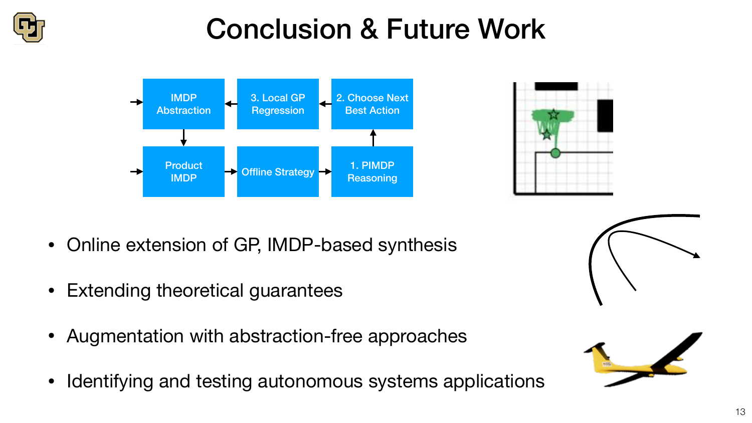## Conclusion & Future Work





- Online extension of GP, IMDP-based synthesis
- Extending theoretical guarantees
- Augmentation with abstraction-free approaches
- Identifying and testing autonomous systems applications